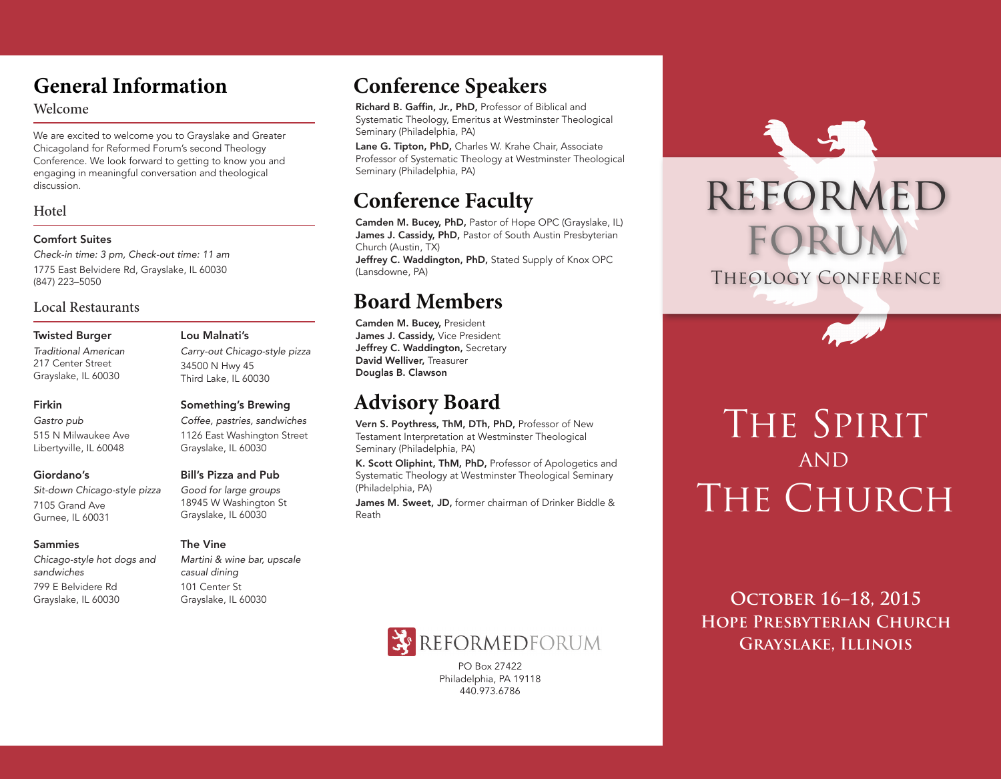## **General Information**

### Welcome

We are excited to welcome you to Grayslake and Greater Chicagoland for Reformed Forum's second Theology Conference. We look forward to getting to know you and engaging in meaningful conversation and theological discussion.

### Hotel

### Comfort Suites

*Check-in time: 3 pm, Check-out time: 11 am* 1775 East Belvidere Rd, Grayslake, IL 60030 (847) 223–5050

### Local Restaurants

#### Twisted Burger

*Traditional American* 217 Center Street Grayslake, IL 60030

### Firkin

*Gastro pub* 515 N Milwaukee Ave Libertyville, IL 60048

### Giordano's

*Sit-down Chicago-style pizza* 7105 Grand Ave Gurnee, IL 60031

#### Sammies

*Chicago-style hot dogs and sandwiches* 799 E Belvidere Rd Grayslake, IL 60030

### Third Lake, IL 60030 Something's Brewing *Coffee, pastries, sandwiches*

*Carry-out Chicago-style pizza*

1126 East Washington Street Grayslake, IL 60030

### Bill's Pizza and Pub

Lou Malnati's

34500 N Hwy 45

*Good for large groups* 18945 W Washington St Grayslake, IL 60030

### The Vine

*Martini & wine bar, upscale casual dining* 101 Center St Grayslake, IL 60030

# **Conference Speakers**

Richard B. Gaffin, Jr., PhD, Professor of Biblical and Systematic Theology, Emeritus at Westminster Theological Seminary (Philadelphia, PA)

Lane G. Tipton, PhD, Charles W. Krahe Chair, Associate Professor of Systematic Theology at Westminster Theological Seminary (Philadelphia, PA)

# **Conference Faculty**

Camden M. Bucey, PhD, Pastor of Hope OPC (Grayslake, IL) James J. Cassidy, PhD, Pastor of South Austin Presbyterian Church (Austin, TX)

Jeffrey C. Waddington, PhD, Stated Supply of Knox OPC (Lansdowne, PA)

### **Board Members**

Camden M. Bucey, President James J. Cassidy, Vice President Jeffrey C. Waddington, Secretary David Welliver, Treasurer Douglas B. Clawson

# **Advisory Board**

Vern S. Poythress, ThM, DTh, PhD, Professor of New Testament Interpretation at Westminster Theological Seminary (Philadelphia, PA)

K. Scott Oliphint, ThM, PhD, Professor of Apologetics and Systematic Theology at Westminster Theological Seminary (Philadelphia, PA)

James M. Sweet, JD, former chairman of Drinker Biddle & Reath



PO Box 27422 Philadelphia, PA 19118 440.973.6786



# THE SPIRIT AND THE CHURCH

**HOPE PRESBYTERIAN CHURCH October 16–18, 2015 Grayslake, Illinois**